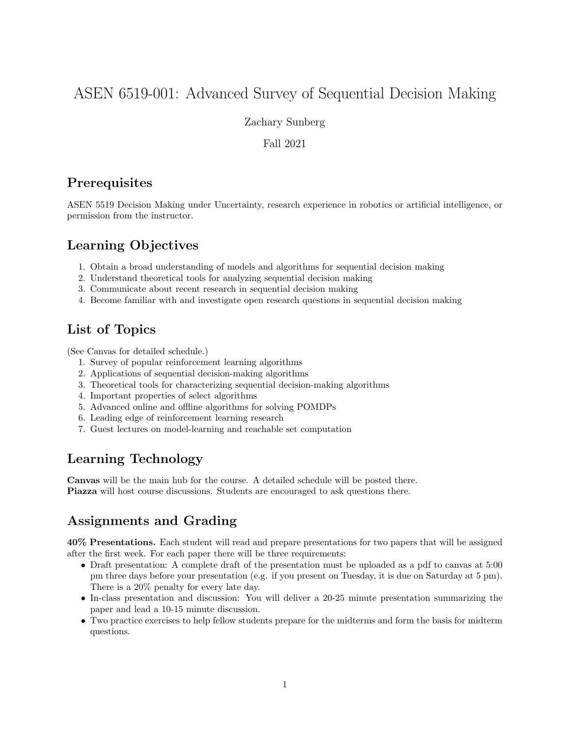# ASEN 6519-001: Advanced Survey of Sequential Decision Making

Zachary Sunberg

Fall 2021

### **Prerequisites**

ASEN 5519 Decision Making under Uncertainty, research experience in robotics or artificial intelligence, or permission from the instructor.

# Learning Objectives

- 1. Obtain a broad understanding of models and algorithms for sequential decision making
- 2. Understand theoretical tools for analyzing sequential decision making
- 3. Communicate about recent research in sequential decision making
- 4. Become familiar with and investigate open research questions in sequential decision making

## List of Topics

(See Canvas for detailed schedule.)

- 1. Survey of popular reinforcement learning algorithms
- 2. Applications of sequential decision-making algorithms
- 3. Theoretical tools for characterizing sequential decision-making algorithms
- 4. Important properties of select algorithms
- 5. Advanced online and offline algorithms for solving POMDPs
- 6. Leading edge of reinforcement learning research
- 7. Guest lectures on model-learning and reachable set computation

## Learning Technology

Canvas will be the main hub for the course. A detailed schedule will be posted there. Piazza will host course discussions. Students are encouraged to ask questions there.

## Assignments and Grading

40% Presentations. Each student will read and prepare presentations for two papers that will be assigned after the first week. For each paper there will be three requirements:

- Draft presentation: A complete draft of the presentation must be uploaded as a pdf to canvas at 5:00 pm three days before your presentation (e.g. if you present on Tuesday, it is due on Saturday at 5 pm). There is a 20% penalty for every late day.
- In-class presentation and discussion: You will deliver a 20-25 minute presentation summarizing the paper and lead a 10-15 minute discussion.
- Two practice exercises to help fellow students prepare for the midterms and form the basis for midterm questions.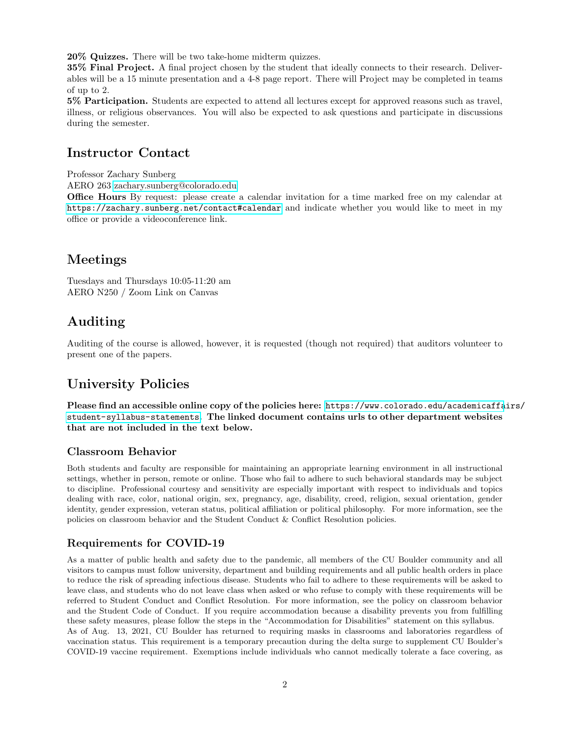20% Quizzes. There will be two take-home midterm quizzes.

35% Final Project. A final project chosen by the student that ideally connects to their research. Deliverables will be a 15 minute presentation and a 4-8 page report. There will Project may be completed in teams of up to 2.

5% Participation. Students are expected to attend all lectures except for approved reasons such as travel, illness, or religious observances. You will also be expected to ask questions and participate in discussions during the semester.

### Instructor Contact

Professor Zachary Sunberg

AERO 263 [zachary.sunberg@colorado.edu](mailto://zachary.sunberg@colorado.edu)

Office Hours By request: please create a calendar invitation for a time marked free on my calendar at [https://zachary.sunberg.net/contact#calendar]( https://zachary.sunberg.net/contact#calendar) and indicate whether you would like to meet in my office or provide a videoconference link.

### Meetings

Tuesdays and Thursdays 10:05-11:20 am AERO N250 / Zoom Link on Canvas

## Auditing

Auditing of the course is allowed, however, it is requested (though not required) that auditors volunteer to present one of the papers.

## University Policies

Please find an accessible online copy of the policies here: [https://www.colorado.edu/academicaffa](https://www.colorado.edu/academicaffairs/student-syllabus-statements)irs/ [student-syllabus-statements](https://www.colorado.edu/academicaffairs/student-syllabus-statements). The linked document contains urls to other department websites that are not included in the text below.

### Classroom Behavior

Both students and faculty are responsible for maintaining an appropriate learning environment in all instructional settings, whether in person, remote or online. Those who fail to adhere to such behavioral standards may be subject to discipline. Professional courtesy and sensitivity are especially important with respect to individuals and topics dealing with race, color, national origin, sex, pregnancy, age, disability, creed, religion, sexual orientation, gender identity, gender expression, veteran status, political affiliation or political philosophy. For more information, see the policies on classroom behavior and the Student Conduct & Conflict Resolution policies.

### Requirements for COVID-19

As a matter of public health and safety due to the pandemic, all members of the CU Boulder community and all visitors to campus must follow university, department and building requirements and all public health orders in place to reduce the risk of spreading infectious disease. Students who fail to adhere to these requirements will be asked to leave class, and students who do not leave class when asked or who refuse to comply with these requirements will be referred to Student Conduct and Conflict Resolution. For more information, see the policy on classroom behavior and the Student Code of Conduct. If you require accommodation because a disability prevents you from fulfilling these safety measures, please follow the steps in the "Accommodation for Disabilities" statement on this syllabus. As of Aug. 13, 2021, CU Boulder has returned to requiring masks in classrooms and laboratories regardless of vaccination status. This requirement is a temporary precaution during the delta surge to supplement CU Boulder's COVID-19 vaccine requirement. Exemptions include individuals who cannot medically tolerate a face covering, as